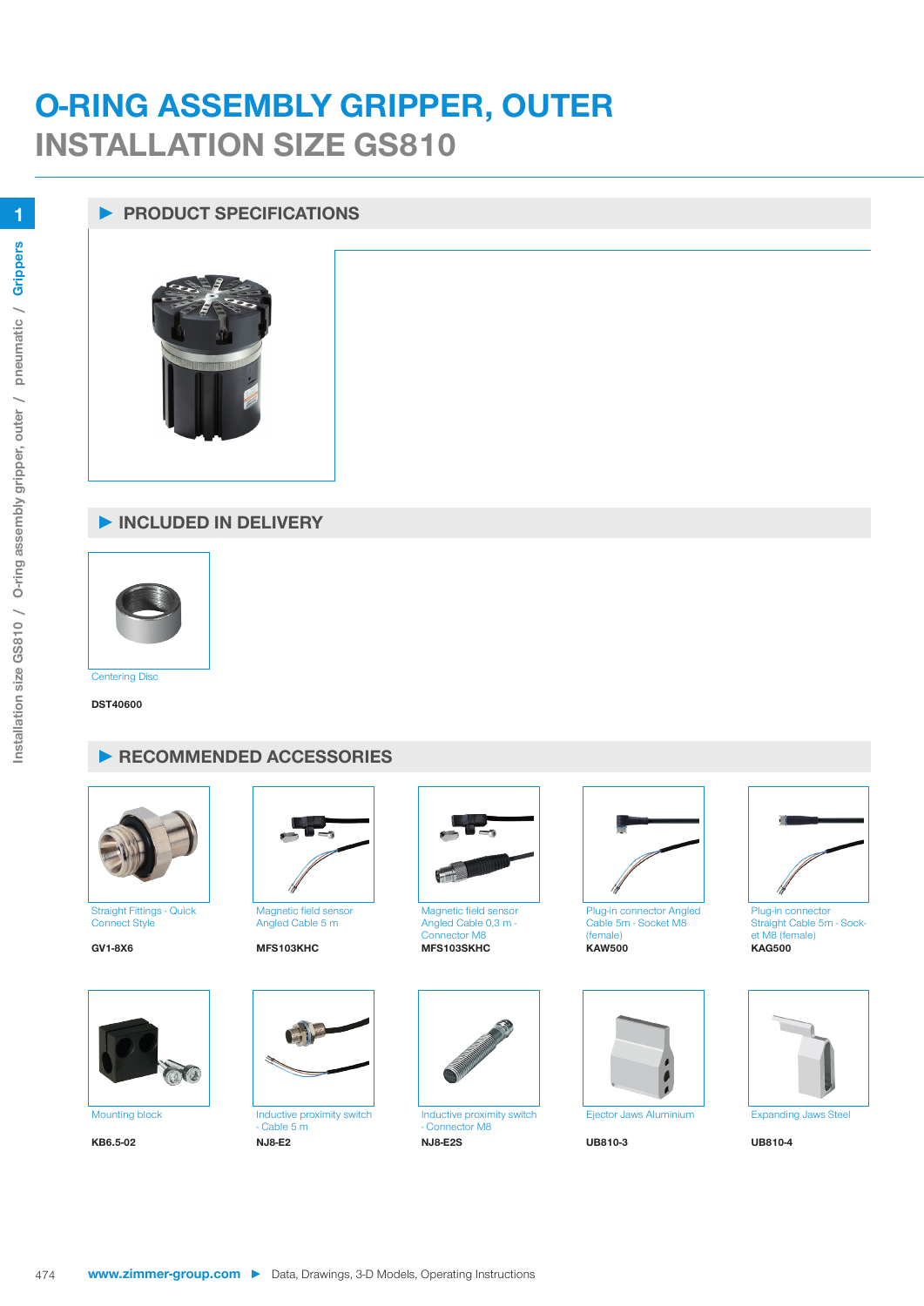# **O-RING ASSEMBLY GRIPPER, OUTER INSTALLATION SIZE GS810**

## **► PRODUCT SPECIFICATIONS**



### **► INCLUDED IN DELIVERY**



**Centering Disc** 

**DST40600**

### **► RECOMMENDED ACCESSORIES**



Straight Fittings - Quick Connect Style





Magnetic field sensor Angled Cable 5 m

#### **GV1-8X6 MFS103KHC MFS103SKHC KAW500 KAG500**



 $-$  Cable 5 m<br>NJ8-E2 **KB6.5-02 NJ8-E2 NJ8-E2S UB810-3 UB810-4**



Magnetic field sensor Angled Cable 0,3 m - Connector M8



Inductive proximity switch - Connector M8<br>NJ8-E2S



Plug-in connector Angled Cable 5m - Socket M8 (female)<br>KAW500







Straight Cable 5m - Socket M8 (female)<br>KAG500